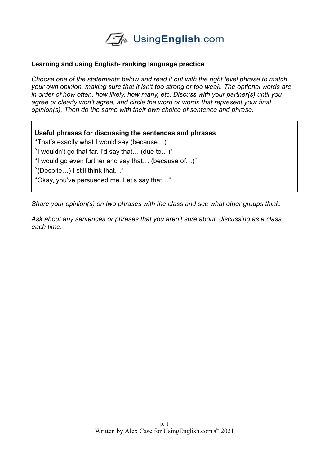

## **Learning and using English- ranking language practice**

*Choose one of the statements below and read it out with the right level phrase to match your own opinion, making sure that it isn't too strong or too weak. The optional words are in order of how often, how likely, how many, etc. Discuss with your partner(s) until you agree or clearly won't agree, and circle the word or words that represent your final opinion(s). Then do the same with their own choice of sentence and phrase.* 

### **Useful phrases for discussing the sentences and phrases**

"That's exactly what I would say (because…)"

"I wouldn't go that far. I'd say that... (due to...)"

"I would go even further and say that… (because of…)"

"(Despite…) I still think that…"

"Okay, you've persuaded me. Let's say that…"

*Share your opinion(s) on two phrases with the class and see what other groups think.*

*Ask about any sentences or phrases that you aren't sure about, discussing as a class each time.*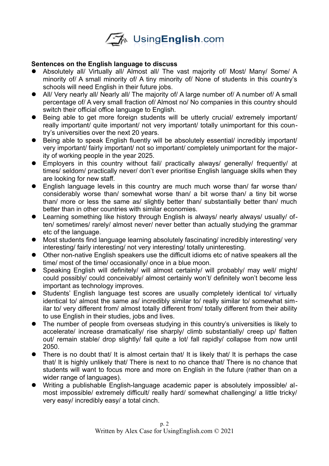

## **Sentences on the English language to discuss**

- Absolutely all/ Virtually all/ Almost all/ The vast majority of/ Most/ Many/ Some/ A minority of/ A small minority of/ A tiny minority of/ None of students in this country's schools will need English in their future jobs.
- All/ Very nearly all/ Nearly all/ The majority of/ A large number of/ A number of/ A small percentage of/ A very small fraction of/ Almost no/ No companies in this country should switch their official office language to English.
- Being able to get more foreign students will be utterly crucial/ extremely important/ really important/ quite important/ not very important/ totally unimportant for this country's universities over the next 20 years.
- Being able to speak English fluently will be absolutely essential/ incredibly important/ very important/ fairly important/ not so important/ completely unimportant for the majority of working people in the year 2025.
- Employers in this country without fail/ practically always/ generally/ frequently/ at times/ seldom/ practically never/ don't ever prioritise English language skills when they are looking for new staff.
- English language levels in this country are much much worse than/ far worse than/ considerably worse than/ somewhat worse than/ a bit worse than/ a tiny bit worse than/ more or less the same as/ slightly better than/ substantially better than/ much better than in other countries with similar economies.
- Learning something like history through English is always/ nearly always/ usually/ often/ sometimes/ rarely/ almost never/ never better than actually studying the grammar etc of the language.
- Most students find language learning absolutely fascinating/ incredibly interesting/ very interesting/ fairly interesting/ not very interesting/ totally uninteresting.
- Other non-native English speakers use the difficult idioms etc of native speakers all the time/ most of the time/ occasionally/ once in a blue moon.
- Speaking English will definitely/ will almost certainly/ will probably/ may well/ might/ could possibly/ could conceivably/ almost certainly won't/ definitely won't become less important as technology improves.
- Students' English language test scores are usually completely identical to/ virtually identical to/ almost the same as/ incredibly similar to/ really similar to/ somewhat similar to/ very different from/ almost totally different from/ totally different from their ability to use English in their studies, jobs and lives.
- The number of people from overseas studying in this country's universities is likely to accelerate/ increase dramatically/ rise sharply/ climb substantially/ creep up/ flatten out/ remain stable/ drop slightly/ fall quite a lot/ fall rapidly/ collapse from now until 2050.
- There is no doubt that/ It is almost certain that/ It is likely that/ It is perhaps the case that/ It is highly unlikely that/ There is next to no chance that/ There is no chance that students will want to focus more and more on English in the future (rather than on a wider range of languages).
- Writing a publishable English-language academic paper is absolutely impossible/ almost impossible/ extremely difficult/ really hard/ somewhat challenging/ a little tricky/ very easy/ incredibly easy/ a total cinch.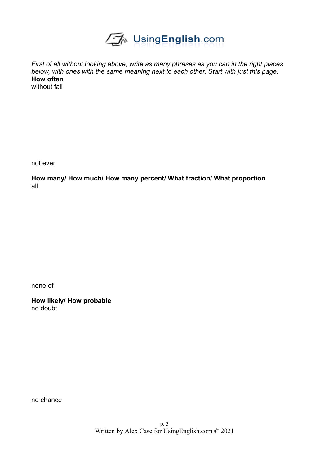

*First of all without looking above, write as many phrases as you can in the right places below, with ones with the same meaning next to each other. Start with just this page.*  **How often** without fail

not ever

**How many/ How much/ How many percent/ What fraction/ What proportion** all

none of

**How likely/ How probable** no doubt

no chance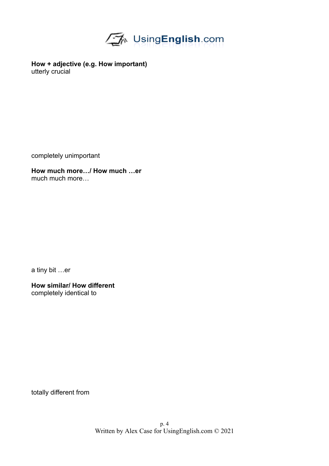

**How + adjective (e.g. How important)** utterly crucial

completely unimportant

**How much more…/ How much …er** much much more…

a tiny bit …er

**How similar/ How different** completely identical to

totally different from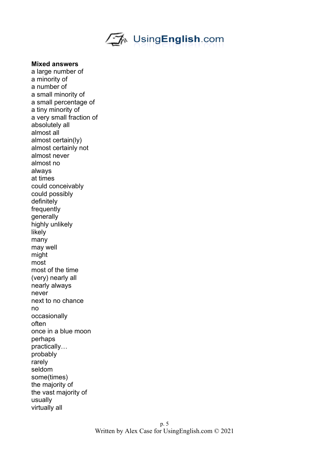

#### **Mixed answers**

a large number of a minority of a number of a small minority of a small percentage of a tiny minority of a very small fraction of absolutely all almost all almost certain(ly) almost certainly not almost never almost no always at times could conceivably could possibly definitely frequently generally highly unlikely likely many may well might most most of the time (very) nearly all nearly always never next to no chance no occasionally often once in a blue moon perhaps practically… probably rarely seldom some(times) the majority of the vast majority of usually virtually all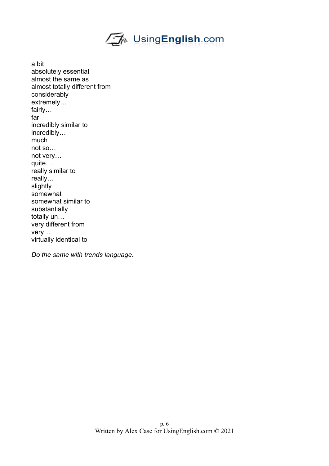

a bit absolutely essential almost the same as almost totally different from considerably extremely… fairly… far incredibly similar to incredibly… much not so… not very… quite… really similar to really… slightly somewhat somewhat similar to substantially totally un… very different from very… virtually identical to

*Do the same with trends language.*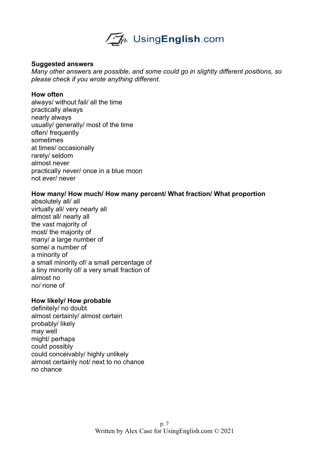

### **Suggested answers**

*Many other answers are possible, and some could go in slightly different positions, so please check if you wrote anything different.* 

## **How often**

always/ without fail/ all the time practically always nearly always usually/ generally/ most of the time often/ frequently sometimes at times/ occasionally rarely/ seldom almost never practically never/ once in a blue moon not ever/ never

# **How many/ How much/ How many percent/ What fraction/ What proportion**

absolutely all/ all virtually all/ very nearly all almost all/ nearly all the vast majority of most/ the majority of many/ a large number of some/ a number of a minority of a small minority of/ a small percentage of a tiny minority of/ a very small fraction of almost no no/ none of

## **How likely/ How probable**

definitely/ no doubt almost certainly/ almost certain probably/ likely may well might/ perhaps could possibly could conceivably/ highly unlikely almost certainly not/ next to no chance no chance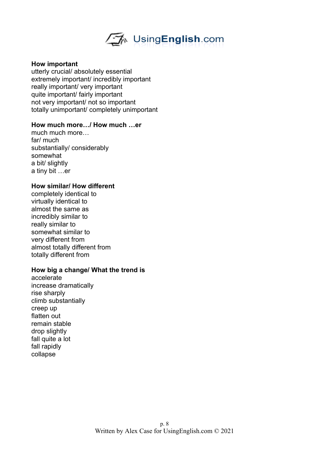

#### **How important**

utterly crucial/ absolutely essential extremely important/ incredibly important really important/ very important quite important/ fairly important not very important/ not so important totally unimportant/ completely unimportant

## **How much more…/ How much …er**

much much more… far/ much substantially/ considerably somewhat a bit/ slightly a tiny bit …er

#### **How similar/ How different**

completely identical to virtually identical to almost the same as incredibly similar to really similar to somewhat similar to very different from almost totally different from totally different from

#### **How big a change/ What the trend is**

accelerate increase dramatically rise sharply climb substantially creep up flatten out remain stable drop slightly fall quite a lot fall rapidly collapse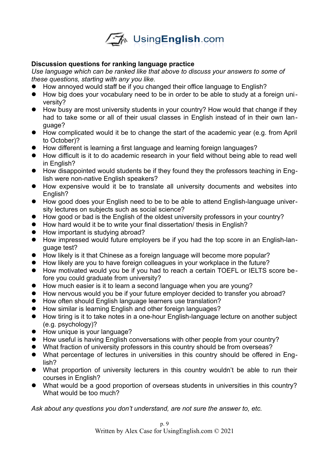

# **Discussion questions for ranking language practice**

*Use language which can be ranked like that above to discuss your answers to some of these questions, starting with any you like.* 

- How annoyed would staff be if you changed their office language to English?
- How big does your vocabulary need to be in order to be able to study at a foreign university?
- How busy are most university students in your country? How would that change if they had to take some or all of their usual classes in English instead of in their own lanquage?
- How complicated would it be to change the start of the academic year (e.g. from April to October)?
- How different is learning a first language and learning foreign languages?
- How difficult is it to do academic research in your field without being able to read well in English?
- How disappointed would students be if they found they the professors teaching in English were non-native English speakers?
- How expensive would it be to translate all university documents and websites into English?
- How good does your English need to be to be able to attend English-language university lectures on subjects such as social science?
- How good or bad is the English of the oldest university professors in your country?
- How hard would it be to write your final dissertation/ thesis in English?
- How important is studying abroad?
- How impressed would future employers be if you had the top score in an English-language test?
- How likely is it that Chinese as a foreign language will become more popular?
- How likely are you to have foreign colleagues in your workplace in the future?
- How motivated would you be if you had to reach a certain TOEFL or IELTS score before you could graduate from university?
- How much easier is it to learn a second language when you are young?
- How nervous would you be if your future employer decided to transfer you abroad?
- How often should English language learners use translation?
- How similar is learning English and other foreign languages?
- How tiring is it to take notes in a one-hour English-language lecture on another subject (e.g. psychology)?
- How unique is your language?
- How useful is having English conversations with other people from your country?
- What fraction of university professors in this country should be from overseas?
- What percentage of lectures in universities in this country should be offered in English?
- What proportion of university lecturers in this country wouldn't be able to run their courses in English?
- What would be a good proportion of overseas students in universities in this country? What would be too much?

*Ask about any questions you don't understand, are not sure the answer to, etc.*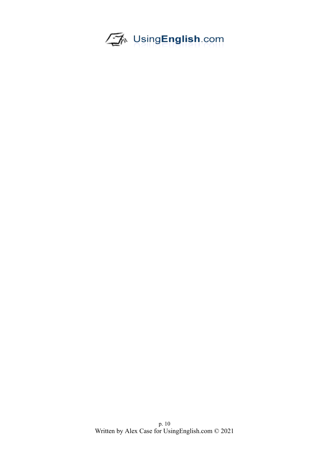